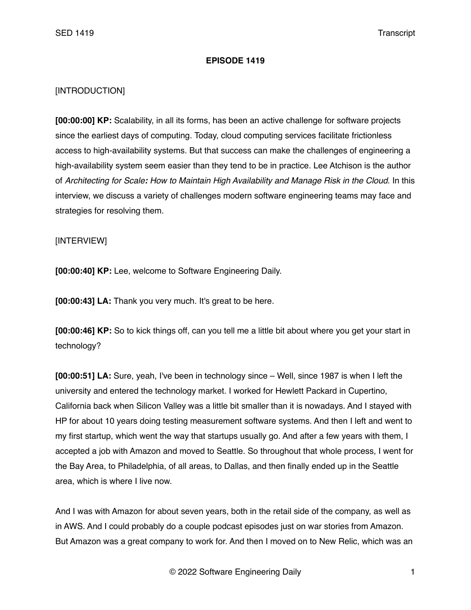## **EPISODE 1419**

## [INTRODUCTION]

**[00:00:00] KP:** Scalability, in all its forms, has been an active challenge for software projects since the earliest days of computing. Today, cloud computing services facilitate frictionless access to high-availability systems. But that success can make the challenges of engineering a high-availability system seem easier than they tend to be in practice. Lee Atchison is the author of *Architecting for Scale: How to Maintain High Availability and Manage Risk in the Cloud*. In this interview, we discuss a variety of challenges modern software engineering teams may face and strategies for resolving them.

## [INTERVIEW]

**[00:00:40] KP:** Lee, welcome to Software Engineering Daily.

**[00:00:43] LA:** Thank you very much. It's great to be here.

**[00:00:46] KP:** So to kick things off, can you tell me a little bit about where you get your start in technology?

**[00:00:51] LA:** Sure, yeah, I've been in technology since – Well, since 1987 is when I left the university and entered the technology market. I worked for Hewlett Packard in Cupertino, California back when Silicon Valley was a little bit smaller than it is nowadays. And I stayed with HP for about 10 years doing testing measurement software systems. And then I left and went to my first startup, which went the way that startups usually go. And after a few years with them, I accepted a job with Amazon and moved to Seattle. So throughout that whole process, I went for the Bay Area, to Philadelphia, of all areas, to Dallas, and then finally ended up in the Seattle area, which is where I live now.

And I was with Amazon for about seven years, both in the retail side of the company, as well as in AWS. And I could probably do a couple podcast episodes just on war stories from Amazon. But Amazon was a great company to work for. And then I moved on to New Relic, which was an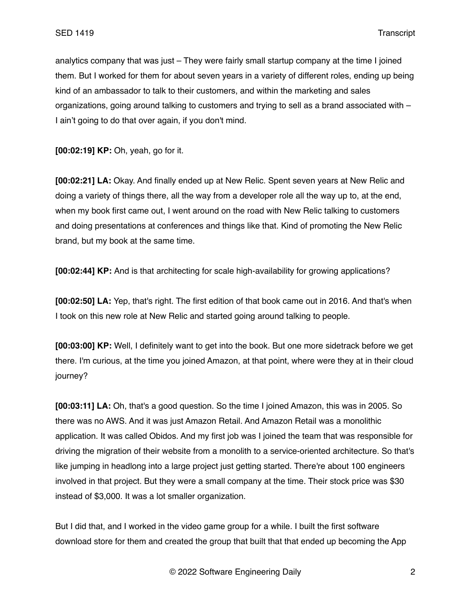analytics company that was just – They were fairly small startup company at the time I joined them. But I worked for them for about seven years in a variety of different roles, ending up being kind of an ambassador to talk to their customers, and within the marketing and sales organizations, going around talking to customers and trying to sell as a brand associated with – I ain't going to do that over again, if you don't mind.

**[00:02:19] KP:** Oh, yeah, go for it.

**[00:02:21] LA:** Okay. And finally ended up at New Relic. Spent seven years at New Relic and doing a variety of things there, all the way from a developer role all the way up to, at the end, when my book first came out, I went around on the road with New Relic talking to customers and doing presentations at conferences and things like that. Kind of promoting the New Relic brand, but my book at the same time.

**[00:02:44] KP:** And is that architecting for scale high-availability for growing applications?

**[00:02:50] LA:** Yep, that's right. The first edition of that book came out in 2016. And that's when I took on this new role at New Relic and started going around talking to people.

**[00:03:00] KP:** Well, I definitely want to get into the book. But one more sidetrack before we get there. I'm curious, at the time you joined Amazon, at that point, where were they at in their cloud journey?

**[00:03:11] LA:** Oh, that's a good question. So the time I joined Amazon, this was in 2005. So there was no AWS. And it was just Amazon Retail. And Amazon Retail was a monolithic application. It was called Obidos. And my first job was I joined the team that was responsible for driving the migration of their website from a monolith to a service-oriented architecture. So that's like jumping in headlong into a large project just getting started. There're about 100 engineers involved in that project. But they were a small company at the time. Their stock price was \$30 instead of \$3,000. It was a lot smaller organization.

But I did that, and I worked in the video game group for a while. I built the first software download store for them and created the group that built that that ended up becoming the App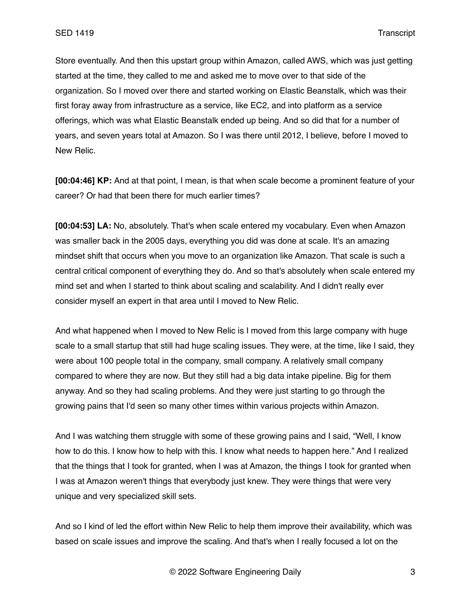Store eventually. And then this upstart group within Amazon, called AWS, which was just getting started at the time, they called to me and asked me to move over to that side of the organization. So I moved over there and started working on Elastic Beanstalk, which was their first foray away from infrastructure as a service, like EC2, and into platform as a service offerings, which was what Elastic Beanstalk ended up being. And so did that for a number of years, and seven years total at Amazon. So I was there until 2012, I believe, before I moved to New Relic.

**[00:04:46] KP:** And at that point, I mean, is that when scale become a prominent feature of your career? Or had that been there for much earlier times?

**[00:04:53] LA:** No, absolutely. That's when scale entered my vocabulary. Even when Amazon was smaller back in the 2005 days, everything you did was done at scale. It's an amazing mindset shift that occurs when you move to an organization like Amazon. That scale is such a central critical component of everything they do. And so that's absolutely when scale entered my mind set and when I started to think about scaling and scalability. And I didn't really ever consider myself an expert in that area until I moved to New Relic.

And what happened when I moved to New Relic is I moved from this large company with huge scale to a small startup that still had huge scaling issues. They were, at the time, like I said, they were about 100 people total in the company, small company. A relatively small company compared to where they are now. But they still had a big data intake pipeline. Big for them anyway. And so they had scaling problems. And they were just starting to go through the growing pains that I'd seen so many other times within various projects within Amazon.

And I was watching them struggle with some of these growing pains and I said, "Well, I know how to do this. I know how to help with this. I know what needs to happen here." And I realized that the things that I took for granted, when I was at Amazon, the things I took for granted when I was at Amazon weren't things that everybody just knew. They were things that were very unique and very specialized skill sets.

And so I kind of led the effort within New Relic to help them improve their availability, which was based on scale issues and improve the scaling. And that's when I really focused a lot on the

© 2022 Software Engineering Daily 3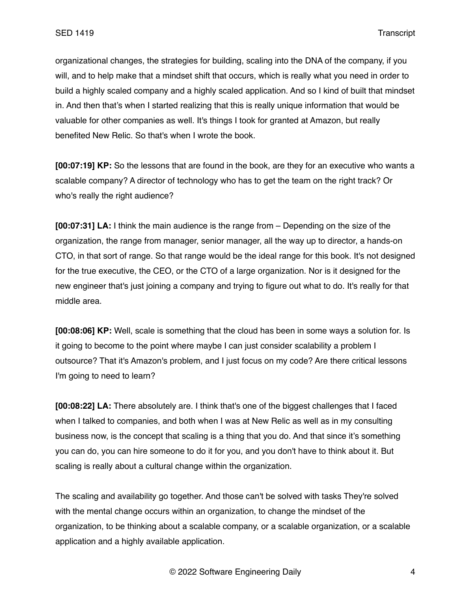organizational changes, the strategies for building, scaling into the DNA of the company, if you will, and to help make that a mindset shift that occurs, which is really what you need in order to build a highly scaled company and a highly scaled application. And so I kind of built that mindset in. And then that's when I started realizing that this is really unique information that would be valuable for other companies as well. It's things I took for granted at Amazon, but really benefited New Relic. So that's when I wrote the book.

**[00:07:19] KP:** So the lessons that are found in the book, are they for an executive who wants a scalable company? A director of technology who has to get the team on the right track? Or who's really the right audience?

**[00:07:31] LA:** I think the main audience is the range from – Depending on the size of the organization, the range from manager, senior manager, all the way up to director, a hands-on CTO, in that sort of range. So that range would be the ideal range for this book. It's not designed for the true executive, the CEO, or the CTO of a large organization. Nor is it designed for the new engineer that's just joining a company and trying to figure out what to do. It's really for that middle area.

**[00:08:06] KP:** Well, scale is something that the cloud has been in some ways a solution for. Is it going to become to the point where maybe I can just consider scalability a problem I outsource? That it's Amazon's problem, and I just focus on my code? Are there critical lessons I'm going to need to learn?

**[00:08:22] LA:** There absolutely are. I think that's one of the biggest challenges that I faced when I talked to companies, and both when I was at New Relic as well as in my consulting business now, is the concept that scaling is a thing that you do. And that since it's something you can do, you can hire someone to do it for you, and you don't have to think about it. But scaling is really about a cultural change within the organization.

The scaling and availability go together. And those can't be solved with tasks They're solved with the mental change occurs within an organization, to change the mindset of the organization, to be thinking about a scalable company, or a scalable organization, or a scalable application and a highly available application.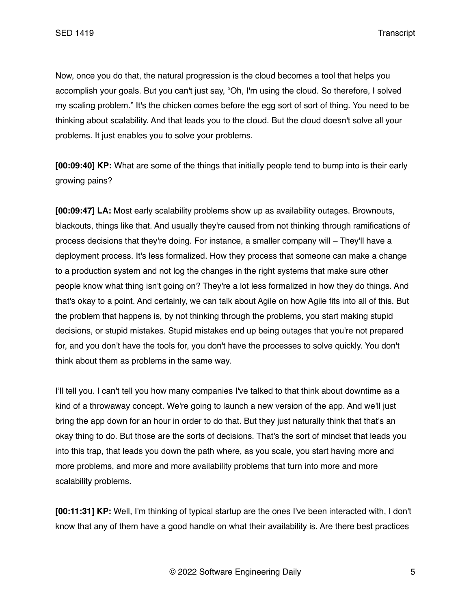Now, once you do that, the natural progression is the cloud becomes a tool that helps you accomplish your goals. But you can't just say, "Oh, I'm using the cloud. So therefore, I solved my scaling problem." It's the chicken comes before the egg sort of sort of thing. You need to be thinking about scalability. And that leads you to the cloud. But the cloud doesn't solve all your problems. It just enables you to solve your problems.

**[00:09:40] KP:** What are some of the things that initially people tend to bump into is their early growing pains?

**[00:09:47] LA:** Most early scalability problems show up as availability outages. Brownouts, blackouts, things like that. And usually they're caused from not thinking through ramifications of process decisions that they're doing. For instance, a smaller company will – They'll have a deployment process. It's less formalized. How they process that someone can make a change to a production system and not log the changes in the right systems that make sure other people know what thing isn't going on? They're a lot less formalized in how they do things. And that's okay to a point. And certainly, we can talk about Agile on how Agile fits into all of this. But the problem that happens is, by not thinking through the problems, you start making stupid decisions, or stupid mistakes. Stupid mistakes end up being outages that you're not prepared for, and you don't have the tools for, you don't have the processes to solve quickly. You don't think about them as problems in the same way.

I'll tell you. I can't tell you how many companies I've talked to that think about downtime as a kind of a throwaway concept. We're going to launch a new version of the app. And we'll just bring the app down for an hour in order to do that. But they just naturally think that that's an okay thing to do. But those are the sorts of decisions. That's the sort of mindset that leads you into this trap, that leads you down the path where, as you scale, you start having more and more problems, and more and more availability problems that turn into more and more scalability problems.

**[00:11:31] KP:** Well, I'm thinking of typical startup are the ones I've been interacted with, I don't know that any of them have a good handle on what their availability is. Are there best practices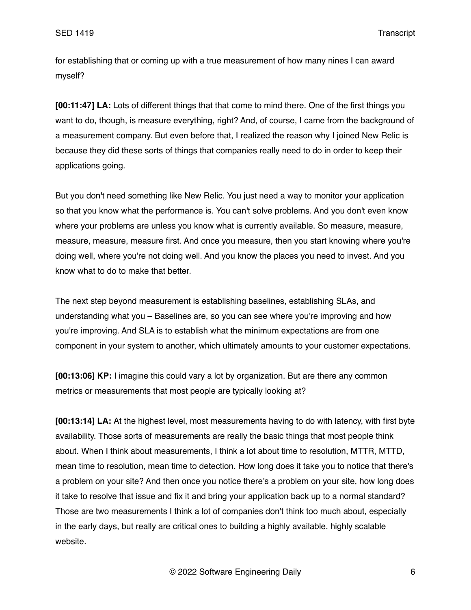for establishing that or coming up with a true measurement of how many nines I can award myself?

**[00:11:47] LA:** Lots of different things that that come to mind there. One of the first things you want to do, though, is measure everything, right? And, of course, I came from the background of a measurement company. But even before that, I realized the reason why I joined New Relic is because they did these sorts of things that companies really need to do in order to keep their applications going.

But you don't need something like New Relic. You just need a way to monitor your application so that you know what the performance is. You can't solve problems. And you don't even know where your problems are unless you know what is currently available. So measure, measure, measure, measure, measure first. And once you measure, then you start knowing where you're doing well, where you're not doing well. And you know the places you need to invest. And you know what to do to make that better.

The next step beyond measurement is establishing baselines, establishing SLAs, and understanding what you – Baselines are, so you can see where you're improving and how you're improving. And SLA is to establish what the minimum expectations are from one component in your system to another, which ultimately amounts to your customer expectations.

**[00:13:06] KP:** I imagine this could vary a lot by organization. But are there any common metrics or measurements that most people are typically looking at?

**[00:13:14] LA:** At the highest level, most measurements having to do with latency, with first byte availability. Those sorts of measurements are really the basic things that most people think about. When I think about measurements, I think a lot about time to resolution, MTTR, MTTD, mean time to resolution, mean time to detection. How long does it take you to notice that there's a problem on your site? And then once you notice there's a problem on your site, how long does it take to resolve that issue and fix it and bring your application back up to a normal standard? Those are two measurements I think a lot of companies don't think too much about, especially in the early days, but really are critical ones to building a highly available, highly scalable website.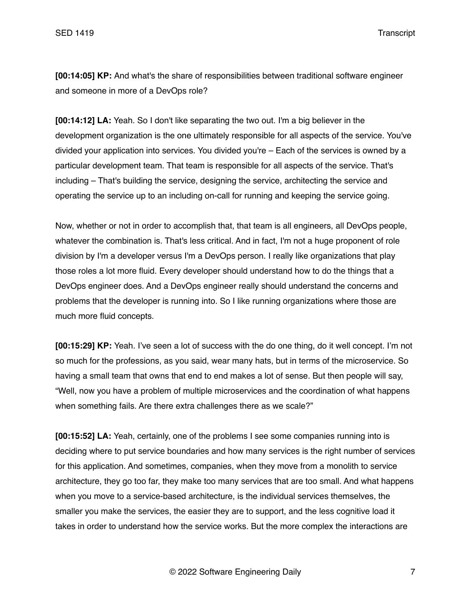**[00:14:05] KP:** And what's the share of responsibilities between traditional software engineer and someone in more of a DevOps role?

**[00:14:12] LA:** Yeah. So I don't like separating the two out. I'm a big believer in the development organization is the one ultimately responsible for all aspects of the service. You've divided your application into services. You divided you're – Each of the services is owned by a particular development team. That team is responsible for all aspects of the service. That's including – That's building the service, designing the service, architecting the service and operating the service up to an including on-call for running and keeping the service going.

Now, whether or not in order to accomplish that, that team is all engineers, all DevOps people, whatever the combination is. That's less critical. And in fact, I'm not a huge proponent of role division by I'm a developer versus I'm a DevOps person. I really like organizations that play those roles a lot more fluid. Every developer should understand how to do the things that a DevOps engineer does. And a DevOps engineer really should understand the concerns and problems that the developer is running into. So I like running organizations where those are much more fluid concepts.

**[00:15:29] KP:** Yeah. I've seen a lot of success with the do one thing, do it well concept. I'm not so much for the professions, as you said, wear many hats, but in terms of the microservice. So having a small team that owns that end to end makes a lot of sense. But then people will say, "Well, now you have a problem of multiple microservices and the coordination of what happens when something fails. Are there extra challenges there as we scale?"

**[00:15:52] LA:** Yeah, certainly, one of the problems I see some companies running into is deciding where to put service boundaries and how many services is the right number of services for this application. And sometimes, companies, when they move from a monolith to service architecture, they go too far, they make too many services that are too small. And what happens when you move to a service-based architecture, is the individual services themselves, the smaller you make the services, the easier they are to support, and the less cognitive load it takes in order to understand how the service works. But the more complex the interactions are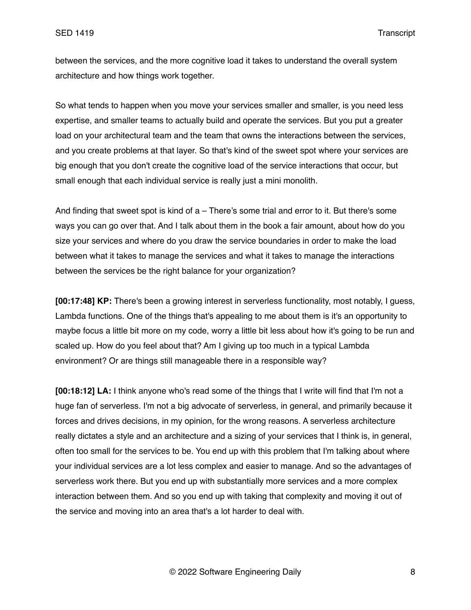between the services, and the more cognitive load it takes to understand the overall system architecture and how things work together.

So what tends to happen when you move your services smaller and smaller, is you need less expertise, and smaller teams to actually build and operate the services. But you put a greater load on your architectural team and the team that owns the interactions between the services, and you create problems at that layer. So that's kind of the sweet spot where your services are big enough that you don't create the cognitive load of the service interactions that occur, but small enough that each individual service is really just a mini monolith.

And finding that sweet spot is kind of  $a$  – There's some trial and error to it. But there's some ways you can go over that. And I talk about them in the book a fair amount, about how do you size your services and where do you draw the service boundaries in order to make the load between what it takes to manage the services and what it takes to manage the interactions between the services be the right balance for your organization?

**[00:17:48] KP:** There's been a growing interest in serverless functionality, most notably, I guess, Lambda functions. One of the things that's appealing to me about them is it's an opportunity to maybe focus a little bit more on my code, worry a little bit less about how it's going to be run and scaled up. How do you feel about that? Am I giving up too much in a typical Lambda environment? Or are things still manageable there in a responsible way?

**[00:18:12] LA:** I think anyone who's read some of the things that I write will find that I'm not a huge fan of serverless. I'm not a big advocate of serverless, in general, and primarily because it forces and drives decisions, in my opinion, for the wrong reasons. A serverless architecture really dictates a style and an architecture and a sizing of your services that I think is, in general, often too small for the services to be. You end up with this problem that I'm talking about where your individual services are a lot less complex and easier to manage. And so the advantages of serverless work there. But you end up with substantially more services and a more complex interaction between them. And so you end up with taking that complexity and moving it out of the service and moving into an area that's a lot harder to deal with.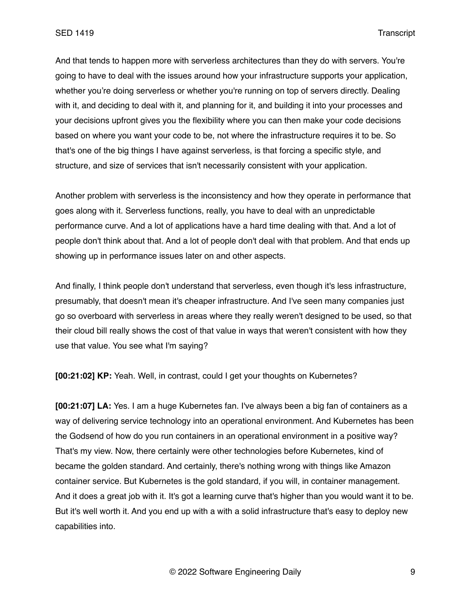And that tends to happen more with serverless architectures than they do with servers. You're going to have to deal with the issues around how your infrastructure supports your application, whether you're doing serverless or whether you're running on top of servers directly. Dealing with it, and deciding to deal with it, and planning for it, and building it into your processes and your decisions upfront gives you the flexibility where you can then make your code decisions based on where you want your code to be, not where the infrastructure requires it to be. So that's one of the big things I have against serverless, is that forcing a specific style, and structure, and size of services that isn't necessarily consistent with your application.

Another problem with serverless is the inconsistency and how they operate in performance that goes along with it. Serverless functions, really, you have to deal with an unpredictable performance curve. And a lot of applications have a hard time dealing with that. And a lot of people don't think about that. And a lot of people don't deal with that problem. And that ends up showing up in performance issues later on and other aspects.

And finally, I think people don't understand that serverless, even though it's less infrastructure, presumably, that doesn't mean it's cheaper infrastructure. And I've seen many companies just go so overboard with serverless in areas where they really weren't designed to be used, so that their cloud bill really shows the cost of that value in ways that weren't consistent with how they use that value. You see what I'm saying?

**[00:21:02] KP:** Yeah. Well, in contrast, could I get your thoughts on Kubernetes?

**[00:21:07] LA:** Yes. I am a huge Kubernetes fan. I've always been a big fan of containers as a way of delivering service technology into an operational environment. And Kubernetes has been the Godsend of how do you run containers in an operational environment in a positive way? That's my view. Now, there certainly were other technologies before Kubernetes, kind of became the golden standard. And certainly, there's nothing wrong with things like Amazon container service. But Kubernetes is the gold standard, if you will, in container management. And it does a great job with it. It's got a learning curve that's higher than you would want it to be. But it's well worth it. And you end up with a with a solid infrastructure that's easy to deploy new capabilities into.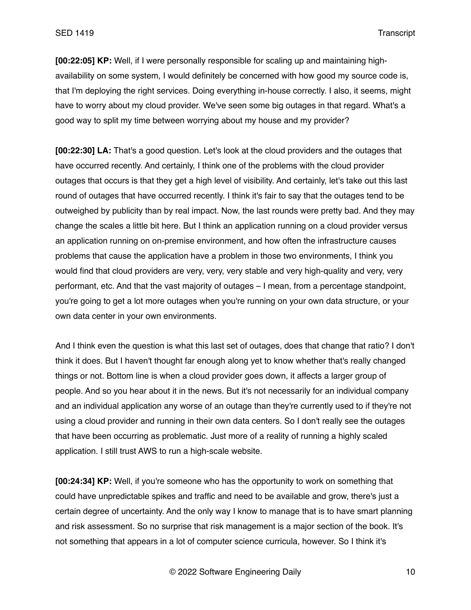**[00:22:05] KP:** Well, if I were personally responsible for scaling up and maintaining highavailability on some system, I would definitely be concerned with how good my source code is, that I'm deploying the right services. Doing everything in-house correctly. I also, it seems, might have to worry about my cloud provider. We've seen some big outages in that regard. What's a good way to split my time between worrying about my house and my provider?

**[00:22:30] LA:** That's a good question. Let's look at the cloud providers and the outages that have occurred recently. And certainly, I think one of the problems with the cloud provider outages that occurs is that they get a high level of visibility. And certainly, let's take out this last round of outages that have occurred recently. I think it's fair to say that the outages tend to be outweighed by publicity than by real impact. Now, the last rounds were pretty bad. And they may change the scales a little bit here. But I think an application running on a cloud provider versus an application running on on-premise environment, and how often the infrastructure causes problems that cause the application have a problem in those two environments, I think you would find that cloud providers are very, very, very stable and very high-quality and very, very performant, etc. And that the vast majority of outages – I mean, from a percentage standpoint, you're going to get a lot more outages when you're running on your own data structure, or your own data center in your own environments.

And I think even the question is what this last set of outages, does that change that ratio? I don't think it does. But I haven't thought far enough along yet to know whether that's really changed things or not. Bottom line is when a cloud provider goes down, it affects a larger group of people. And so you hear about it in the news. But it's not necessarily for an individual company and an individual application any worse of an outage than they're currently used to if they're not using a cloud provider and running in their own data centers. So I don't really see the outages that have been occurring as problematic. Just more of a reality of running a highly scaled application. I still trust AWS to run a high-scale website.

**[00:24:34] KP:** Well, if you're someone who has the opportunity to work on something that could have unpredictable spikes and traffic and need to be available and grow, there's just a certain degree of uncertainty. And the only way I know to manage that is to have smart planning and risk assessment. So no surprise that risk management is a major section of the book. It's not something that appears in a lot of computer science curricula, however. So I think it's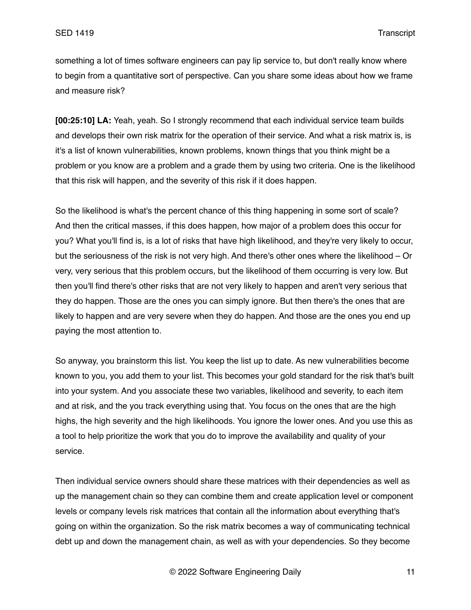something a lot of times software engineers can pay lip service to, but don't really know where to begin from a quantitative sort of perspective. Can you share some ideas about how we frame and measure risk?

**[00:25:10] LA:** Yeah, yeah. So I strongly recommend that each individual service team builds and develops their own risk matrix for the operation of their service. And what a risk matrix is, is it's a list of known vulnerabilities, known problems, known things that you think might be a problem or you know are a problem and a grade them by using two criteria. One is the likelihood that this risk will happen, and the severity of this risk if it does happen.

So the likelihood is what's the percent chance of this thing happening in some sort of scale? And then the critical masses, if this does happen, how major of a problem does this occur for you? What you'll find is, is a lot of risks that have high likelihood, and they're very likely to occur, but the seriousness of the risk is not very high. And there's other ones where the likelihood – Or very, very serious that this problem occurs, but the likelihood of them occurring is very low. But then you'll find there's other risks that are not very likely to happen and aren't very serious that they do happen. Those are the ones you can simply ignore. But then there's the ones that are likely to happen and are very severe when they do happen. And those are the ones you end up paying the most attention to.

So anyway, you brainstorm this list. You keep the list up to date. As new vulnerabilities become known to you, you add them to your list. This becomes your gold standard for the risk that's built into your system. And you associate these two variables, likelihood and severity, to each item and at risk, and the you track everything using that. You focus on the ones that are the high highs, the high severity and the high likelihoods. You ignore the lower ones. And you use this as a tool to help prioritize the work that you do to improve the availability and quality of your service.

Then individual service owners should share these matrices with their dependencies as well as up the management chain so they can combine them and create application level or component levels or company levels risk matrices that contain all the information about everything that's going on within the organization. So the risk matrix becomes a way of communicating technical debt up and down the management chain, as well as with your dependencies. So they become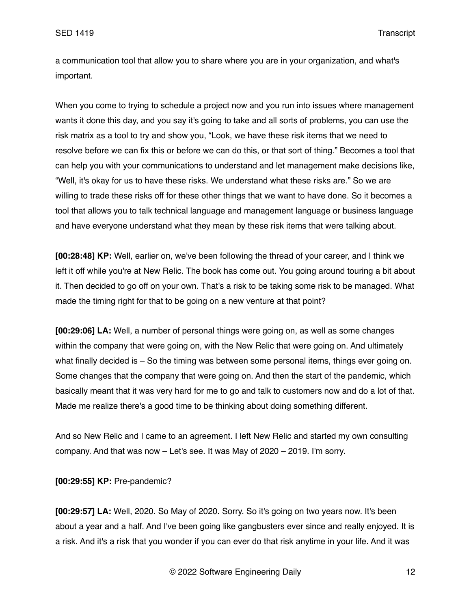a communication tool that allow you to share where you are in your organization, and what's important.

When you come to trying to schedule a project now and you run into issues where management wants it done this day, and you say it's going to take and all sorts of problems, you can use the risk matrix as a tool to try and show you, "Look, we have these risk items that we need to resolve before we can fix this or before we can do this, or that sort of thing." Becomes a tool that can help you with your communications to understand and let management make decisions like, "Well, it's okay for us to have these risks. We understand what these risks are." So we are willing to trade these risks off for these other things that we want to have done. So it becomes a tool that allows you to talk technical language and management language or business language and have everyone understand what they mean by these risk items that were talking about.

**[00:28:48] KP:** Well, earlier on, we've been following the thread of your career, and I think we left it off while you're at New Relic. The book has come out. You going around touring a bit about it. Then decided to go off on your own. That's a risk to be taking some risk to be managed. What made the timing right for that to be going on a new venture at that point?

**[00:29:06] LA:** Well, a number of personal things were going on, as well as some changes within the company that were going on, with the New Relic that were going on. And ultimately what finally decided is – So the timing was between some personal items, things ever going on. Some changes that the company that were going on. And then the start of the pandemic, which basically meant that it was very hard for me to go and talk to customers now and do a lot of that. Made me realize there's a good time to be thinking about doing something different.

And so New Relic and I came to an agreement. I left New Relic and started my own consulting company. And that was now – Let's see. It was May of 2020 – 2019. I'm sorry.

**[00:29:55] KP:** Pre-pandemic?

**[00:29:57] LA:** Well, 2020. So May of 2020. Sorry. So it's going on two years now. It's been about a year and a half. And I've been going like gangbusters ever since and really enjoyed. It is a risk. And it's a risk that you wonder if you can ever do that risk anytime in your life. And it was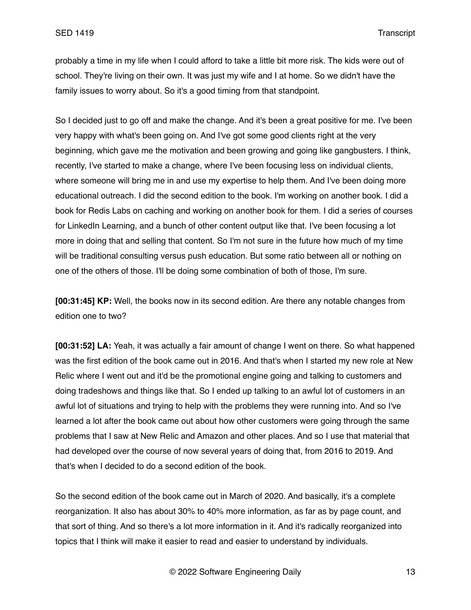probably a time in my life when I could afford to take a little bit more risk. The kids were out of school. They're living on their own. It was just my wife and I at home. So we didn't have the family issues to worry about. So it's a good timing from that standpoint.

So I decided just to go off and make the change. And it's been a great positive for me. I've been very happy with what's been going on. And I've got some good clients right at the very beginning, which gave me the motivation and been growing and going like gangbusters. I think, recently, I've started to make a change, where I've been focusing less on individual clients, where someone will bring me in and use my expertise to help them. And I've been doing more educational outreach. I did the second edition to the book. I'm working on another book. I did a book for Redis Labs on caching and working on another book for them. I did a series of courses for LinkedIn Learning, and a bunch of other content output like that. I've been focusing a lot more in doing that and selling that content. So I'm not sure in the future how much of my time will be traditional consulting versus push education. But some ratio between all or nothing on one of the others of those. I'll be doing some combination of both of those, I'm sure.

**[00:31:45] KP:** Well, the books now in its second edition. Are there any notable changes from edition one to two?

**[00:31:52] LA:** Yeah, it was actually a fair amount of change I went on there. So what happened was the first edition of the book came out in 2016. And that's when I started my new role at New Relic where I went out and it'd be the promotional engine going and talking to customers and doing tradeshows and things like that. So I ended up talking to an awful lot of customers in an awful lot of situations and trying to help with the problems they were running into. And so I've learned a lot after the book came out about how other customers were going through the same problems that I saw at New Relic and Amazon and other places. And so I use that material that had developed over the course of now several years of doing that, from 2016 to 2019. And that's when I decided to do a second edition of the book.

So the second edition of the book came out in March of 2020. And basically, it's a complete reorganization. It also has about 30% to 40% more information, as far as by page count, and that sort of thing. And so there's a lot more information in it. And it's radically reorganized into topics that I think will make it easier to read and easier to understand by individuals.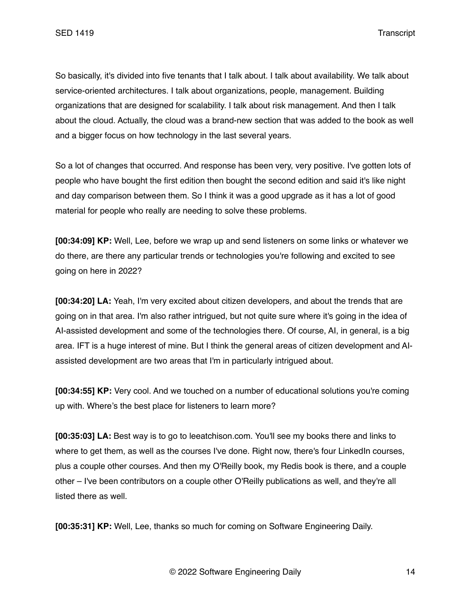So basically, it's divided into five tenants that I talk about. I talk about availability. We talk about service-oriented architectures. I talk about organizations, people, management. Building organizations that are designed for scalability. I talk about risk management. And then I talk about the cloud. Actually, the cloud was a brand-new section that was added to the book as well and a bigger focus on how technology in the last several years.

So a lot of changes that occurred. And response has been very, very positive. I've gotten lots of people who have bought the first edition then bought the second edition and said it's like night and day comparison between them. So I think it was a good upgrade as it has a lot of good material for people who really are needing to solve these problems.

**[00:34:09] KP:** Well, Lee, before we wrap up and send listeners on some links or whatever we do there, are there any particular trends or technologies you're following and excited to see going on here in 2022?

**[00:34:20] LA:** Yeah, I'm very excited about citizen developers, and about the trends that are going on in that area. I'm also rather intrigued, but not quite sure where it's going in the idea of AI-assisted development and some of the technologies there. Of course, AI, in general, is a big area. IFT is a huge interest of mine. But I think the general areas of citizen development and AIassisted development are two areas that I'm in particularly intrigued about.

**[00:34:55] KP:** Very cool. And we touched on a number of educational solutions you're coming up with. Where's the best place for listeners to learn more?

**[00:35:03] LA:** Best way is to go to leeatchison.com. You'll see my books there and links to where to get them, as well as the courses I've done. Right now, there's four LinkedIn courses, plus a couple other courses. And then my O'Reilly book, my Redis book is there, and a couple other – I've been contributors on a couple other O'Reilly publications as well, and they're all listed there as well.

**[00:35:31] KP:** Well, Lee, thanks so much for coming on Software Engineering Daily.